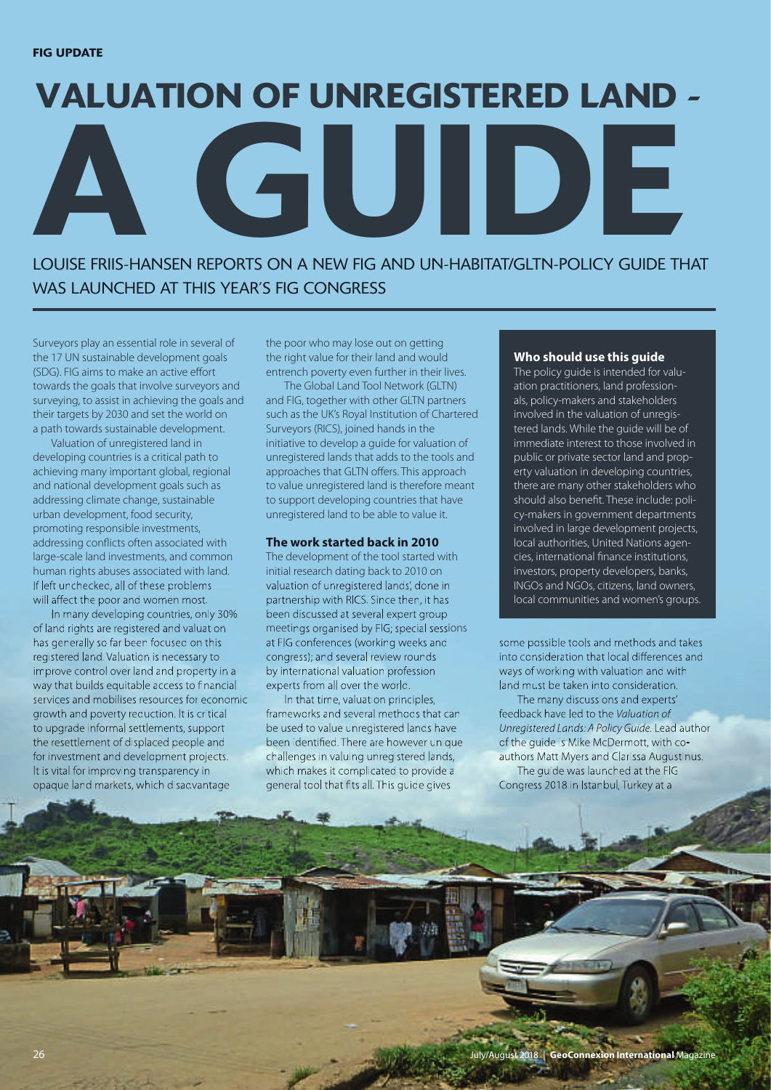# **A GUIDE VALUATION OF UNREGISTERED LAND -**

LOUISE FRIIS-HANSEN REPORTS ON A NEW FIG AND UN-HABITAT/GLTN-POLICY GUIDE THAT WAS LAUNCHED AT THIS YEAR'S FIG CONGRESS

Surveyors play an essential role in several of the 17 UN sustainable development goals (SDG). FIG aims to make an active effort towards the goals that involve surveyors and surveying, to assist in achieving the goals and their targets by 2030 and set the world on a path towards sustainable development.

Valuation of unregistered land in developing countries is a critical path to achieving many important global, regional and national development goals such as addressing climate change, sustainable urban development, food security, promoting responsible investments, addressing conflicts often associated with large-scale land investments, and common human rights abuses associated with land. If left unchecked, all of these problems will affect the poor and women most.

In many developing countries, only 30% of land rights are registered and valuation has generally so far been focused on this registered land. Valuation is necessary to improve control over land and property in a way that builds equitable access to financial services and mobilises resources for economic growth and poverty reduction. It is critical to upgrade informal settlements, support the resettlement of displaced people and for investment and development projects. It is vital for improving transparency in opaque land markets, which disadvantage

the poor who may lose out on getting the right value for their land and would entrench poverty even further in their lives.

The Global Land Tool Network (GLTN) and FIG, together with other GLTN partners such as the UK's Royal Institution of Chartered Surveyors (RICS), joined hands in the initiative to develop a guide for valuation of unregistered lands that adds to the tools and approaches that GLTN offers. This approach to value unregistered land is therefore meant to support developing countries that have unregistered land to be able to value it.

# **The work started back in 2010**

The development of the tool started with initial research dating back to 2010 on valuation of unregistered lands', done in partnership with RICS. Since then, it has been discussed at several expert group meetings organised by FIG; special sessions at FIG conferences (working weeks and congress); and several review rounds by international valuation profession experts from all over the world.

In that time, valuation principles, frameworks and several methods that can be used to value unregistered lands have been identified. There are however unique challenges in valuing unregistered lands, which makes it complicated to provide a general tool that fits all. This guide gives

#### **Who should use this guide**

The policy guide is intended for valuation practitioners, land professionals, policy-makers and stakeholders involved in the valuation of unregistered lands. While the guide will be of immediate interest to those involved in public or private sector land and property valuation in developing countries, there are many other stakeholders who should also benefit. These include: policy-makers in government departments involved in large development projects, local authorities, United Nations agencies, international finance institutions, investors, property developers, banks, INGOs and NGOs, citizens, land owners, local communities and women's groups.

some possible tools and methods and takes into consideration that local differences and ways of working with valuation and with land must be taken into consideration.

The many discussions and experts' feedback have led to the Valuation of Unregistered Lands: A Policy Guide. Lead author of the guide is Mike McDermott, with coauthors Matt Myers and Clarissa Augustinus. The guide was launched at the FIG Congress 2018 in Istanbul, Turkey at a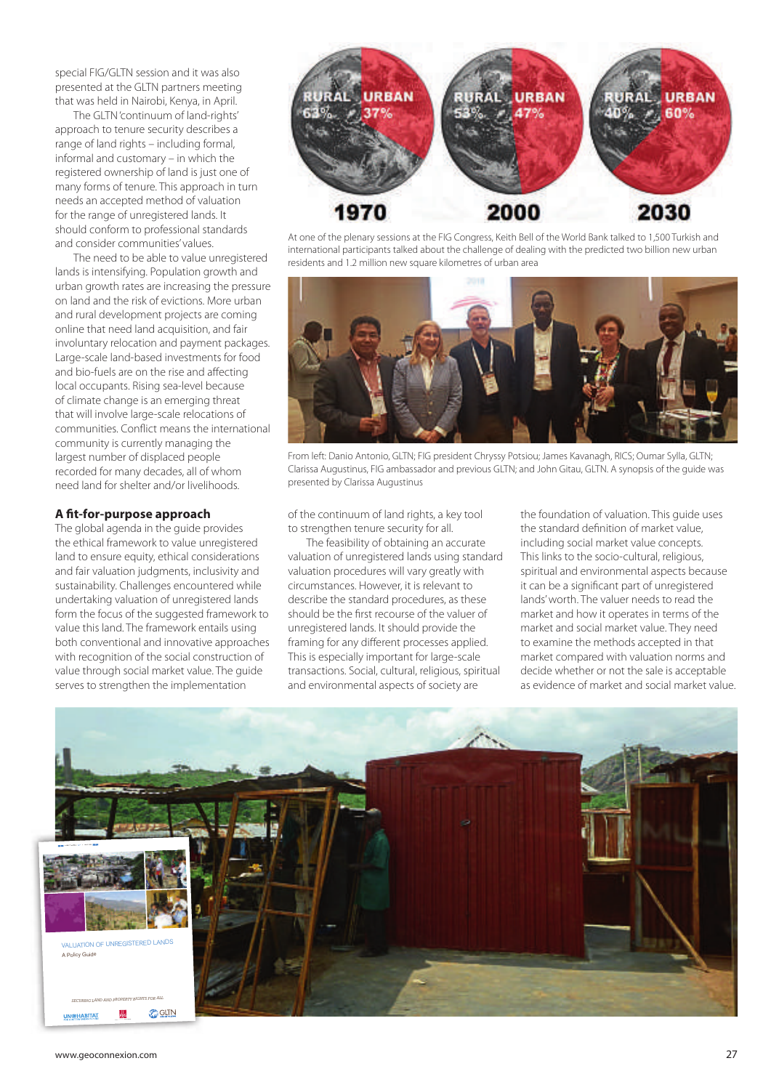special FIG/GLTN session and it was also presented at the GLTN partners meeting that was held in Nairobi, Kenya, in April.

The GLTN 'continuum of land-rights' approach to tenure security describes a range of land rights – including formal, informal and customary–in which the registered ownership of land is just one of many forms of tenure. This approach in turn needs an accepted method of valuation for the range of unregistered lands. It should conform to professional standards and consider communities' values.

The need to be able to value unregistered lands is intensifying. Population growth and urban growth rates are increasing the pressure on land and the risk of evictions. More urban and rural development projects are coming online that need land acquisition, and fair involuntary relocation and payment packages. Large-scale land-based investments for food and bio-fuels are on the rise and affecting local occupants. Rising sea-level because of climate change is an emerging threat that will involve large-scale relocations of communities. Conflict means the international community is currently managing the largest number of displaced people recorded for many decades, all of whom need land for shelter and/or livelihoods.

# **A fit-for-purpose approach**

The global agenda in the guide provides the ethical framework to value unregistered land to ensure equity, ethical considerations and fair valuation judgments, inclusivity and sustainability. Challenges encountered while undertaking valuation of unregistered lands form the focus of the suggested framework to value this land. The framework entails using both conventional and innovative approaches with recognition of the social construction of value through social market value. The guide serves to strengthen the implementation



At one of the plenary sessions at the FIG Congress, Keith Bell of the World Bank talked to 1,500 Turkish and international participants talked about the challenge of dealing with the predicted two billion new urban residents and 1.2 million new square kilometres of urban area



From left: Danio Antonio, GLTN; FIG president Chryssy Potsiou; James Kavanagh, RICS; Oumar Sylla, GLTN; Clarissa Augustinus, FIG ambassador and previous GLTN; and John Gitau, GLTN. A synopsis of the guide was presented by Clarissa Augustinus

of the continuum of land rights, a key tool to strengthen tenure security for all.

The feasibility of obtaining an accurate valuation of unregistered lands using standard valuation procedures will vary greatly with circumstances. However, it is relevant to describe the standard procedures, as these should be the first recourse of the valuer of unregistered lands. It should provide the framing for any different processes applied. This is especially important for large-scale transactions. Social, cultural, religious, spiritual and environmental aspects of society are

the foundation of valuation. This guide uses the standard definition of market value, including social market value concepts. This links to the socio-cultural, religious, spiritual and environmental aspects because it can be a significant part of unregistered lands' worth. The valuer needs to read the market and how it operates in terms of the market and social market value. They need to examine the methods accepted in that market compared with valuation norms and decide whether or not the sale is acceptable as evidence of market and social market value.

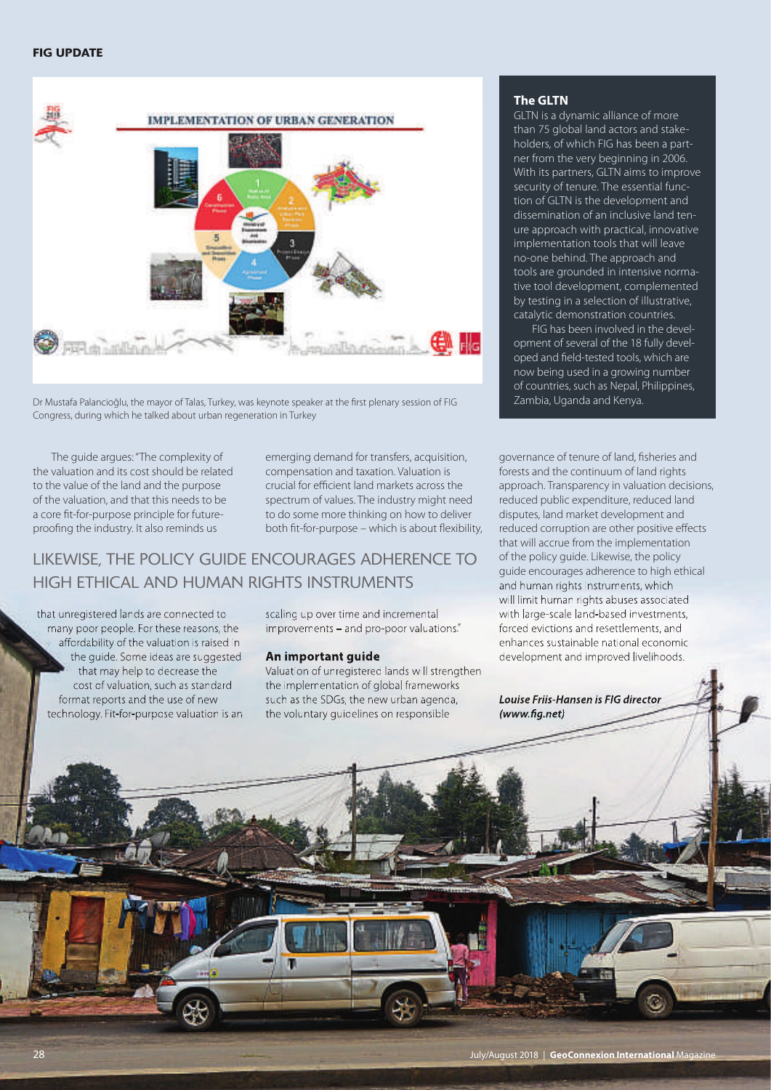# **FIG UPDATE**



Dr Mustafa Palancioğlu, the mayor of Talas, Turkey, was keynote speaker at the first plenary session of FIG Zambia, Uganda and Kenya. Congress, during which he talked about urban regeneration in Turkey

The guide argues:"The complexity of the valuation and its cost should be related to the value of the land and the purpose of the valuation, and that this needs to be a core fit-for-purpose principle for futureproofing the industry. It also reminds us

emerging demand for transfers, acquisition, compensation and taxation. Valuation is crucial for efficient land markets across the spectrum of values. The industry might need to do some more thinking on how to deliver both fit-for-purpose – which is about flexibility,

# LIKEWISE, THE POLICY GUIDE ENCOURAGES ADHERENCE TO HIGH ETHICAL AND HUMAN RIGHTS INSTRUMENTS

that unregistered lands are connected to many poor people. For these reasons, the affordability of the valuation is raised in the guide. Some ideas are suggested that may help to decrease the cost of valuation, such as standard format reports and the use of new technology. Fit-for-purpose valuation is an scaling up over time and incremental improvements – and pro-poor valuations."

# **An important guide**

Valuation of unregistered lands will strengthen the implementation of global frameworks such as the SDGs, the new urban agenda, the voluntary guidelines on responsible

### **The GLTN**

GLTN is a dynamic alliance of more than 75 global land actors and stakeholders, of which FIG has been a partner from the very beginning in 2006. With its partners, GLTN aims to improve security of tenure. The essential function of GLTN is the development and dissemination of an inclusive land tenure approach with practical, innovative implementation tools that will leave no-one behind. The approach and tools are grounded in intensive normative tool development, complemented by testing in a selection of illustrative, catalytic demonstration countries.

FIG has been involved in the development of several of the 18 fully developed and field-tested tools, which are now being used in a growing number of countries, such as Nepal, Philippines,

governance of tenure of land, fisheries and forests and the continuum of land rights approach. Transparency in valuation decisions, reduced public expenditure, reduced land disputes, land market development and reduced corruption are other positive effects that will accrue from the implementation of the policy guide. Likewise, the policy guide encourages adherence to high ethical and human rights instruments, which will limit human rights abuses associated with large-scale land-based investments, forced evictions and resettlements, and enhances sustainable national economic development and improved livelihoods.

*Louise Friis-Hansen is FIG director (www.fig.net)*